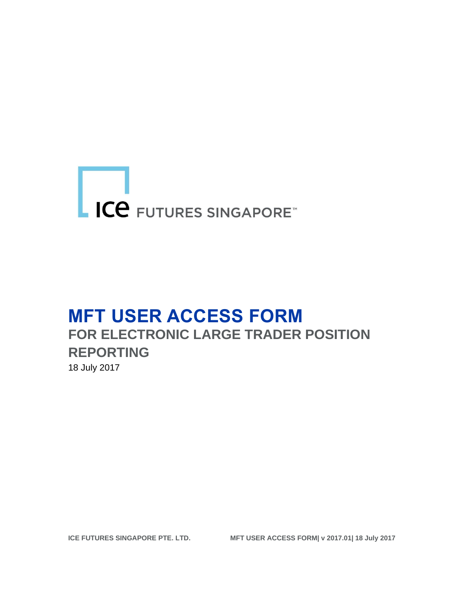# ICE FUTURES SINGAPORE

## **MFT USER ACCESS FORM FOR ELECTRONIC LARGE TRADER POSITION REPORTING** 18 July 2017

**ICE FUTURES SINGAPORE PTE. LTD. MFT USER ACCESS FORM| v 2017.01| 18 July 2017**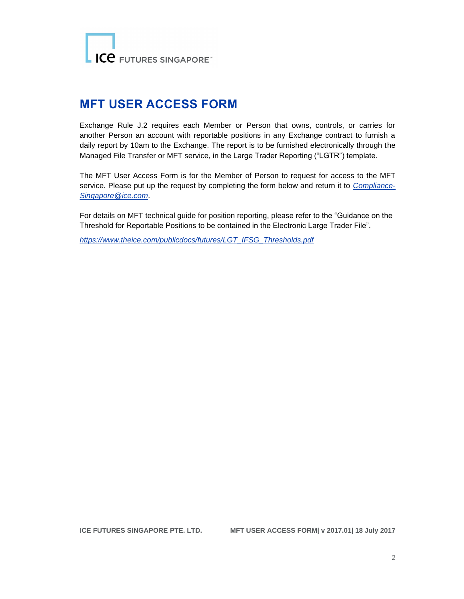LICE FUTURES SINGAPORE

### **MFT USER ACCESS FORM**

Exchange Rule J.2 requires each Member or Person that owns, controls, or carries for another Person an account with reportable positions in any Exchange contract to furnish a daily report by 10am to the Exchange. The report is to be furnished electronically through the Managed File Transfer or MFT service, in the Large Trader Reporting ("LGTR") template.

The MFT User Access Form is for the Member of Person to request for access to the MFT service. Please put up the request by completing the form below and return it to *[Compliance-](mailto:Compliance-Singapore@ice.com)[Singapore@ice.com](mailto:Compliance-Singapore@ice.com)*.

For details on MFT technical guide for position reporting, please refer to the "Guidance on the Threshold for Reportable Positions to be contained in the Electronic Large Trader File".

*[https://www.theice.com/publicdocs/futures/LGT\\_IFSG\\_Thresholds.pdf](https://www.theice.com/publicdocs/futures/LGT_IFSG_Thresholds.pdf)*